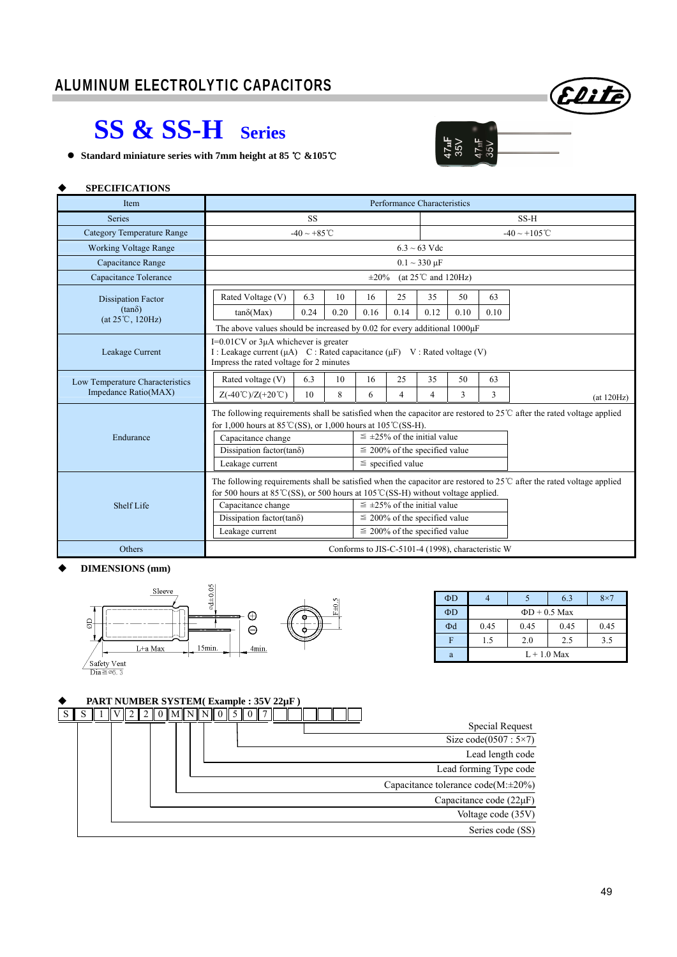

 $47<sub>u</sub>F$ 35V

 $47<sub>u</sub>F$ <br>35V

## **SS & SS-H Series**

**●** Standard miniature series with 7mm height at 85 ℃ &105 ℃

#### **SPECIFICATIONS**

| Item                                       | Performance Characteristics                                                                                                                                                                                      |                          |      |                                      |                                      |                                         |                    |      |            |  |
|--------------------------------------------|------------------------------------------------------------------------------------------------------------------------------------------------------------------------------------------------------------------|--------------------------|------|--------------------------------------|--------------------------------------|-----------------------------------------|--------------------|------|------------|--|
| <b>Series</b>                              | <b>SS</b>                                                                                                                                                                                                        |                          |      |                                      |                                      |                                         | SS-H               |      |            |  |
| <b>Category Temperature Range</b>          |                                                                                                                                                                                                                  | $-40 \sim +85^{\circ}$ C |      |                                      |                                      |                                         | $-40 \sim +105$ °C |      |            |  |
| <b>Working Voltage Range</b>               |                                                                                                                                                                                                                  |                          |      |                                      |                                      | $6.3 \sim 63$ Vdc                       |                    |      |            |  |
| Capacitance Range                          |                                                                                                                                                                                                                  |                          |      |                                      |                                      | $0.1 \sim 330 \mu F$                    |                    |      |            |  |
| Capacitance Tolerance                      |                                                                                                                                                                                                                  |                          |      | $\pm 20\%$                           |                                      | (at $25^{\circ}$ C and $120\text{Hz}$ ) |                    |      |            |  |
| <b>Dissipation Factor</b>                  | Rated Voltage (V)                                                                                                                                                                                                | 6.3                      | 10   | 16                                   | 25                                   | 35                                      | 50                 | 63   |            |  |
| $(tan\delta)$<br>$(at 25^{\circ}C, 120Hz)$ | $tan\delta(Max)$                                                                                                                                                                                                 | 0.24                     | 0.20 | 0.16                                 | 0.14                                 | 0.12                                    | 0.10               | 0.10 |            |  |
|                                            | The above values should be increased by 0.02 for every additional $1000\mu$ F                                                                                                                                    |                          |      |                                      |                                      |                                         |                    |      |            |  |
| Leakage Current                            | $I=0.01$ CV or $3\mu A$ whichever is greater<br>I : Leakage current ( $\mu$ A) C : Rated capacitance ( $\mu$ F) V : Rated voltage (V)<br>Impress the rated voltage for 2 minutes                                 |                          |      |                                      |                                      |                                         |                    |      |            |  |
| Low Temperature Characteristics            | Rated voltage (V)                                                                                                                                                                                                | 6.3                      | 10   | 16                                   | 25                                   | 35                                      | 50                 | 63   |            |  |
| Impedance Ratio(MAX)                       | $Z(-40^{\circ}\text{C})/Z(+20^{\circ}\text{C})$                                                                                                                                                                  | 10                       | 8    | 6                                    | $\overline{4}$                       | $\overline{4}$                          | 3                  | 3    | (at 120Hz) |  |
|                                            | The following requirements shall be satisfied when the capacitor are restored to $25^{\circ}$ C after the rated voltage applied<br>for 1,000 hours at 85 °C(SS), or 1,000 hours at $105$ °C(SS-H).               |                          |      |                                      |                                      |                                         |                    |      |            |  |
| Endurance                                  | Capacitance change                                                                                                                                                                                               |                          |      |                                      | $\leq \pm 25\%$ of the initial value |                                         |                    |      |            |  |
|                                            | Dissipation factor(tan $\delta$ )                                                                                                                                                                                |                          |      |                                      | $\leq$ 200% of the specified value   |                                         |                    |      |            |  |
|                                            | Leakage current                                                                                                                                                                                                  | $\le$ specified value    |      |                                      |                                      |                                         |                    |      |            |  |
| Shelf Life                                 | The following requirements shall be satisfied when the capacitor are restored to $25^{\circ}$ after the rated voltage applied<br>for 500 hours at 85°C(SS), or 500 hours at 105°C(SS-H) without voltage applied. |                          |      |                                      |                                      |                                         |                    |      |            |  |
|                                            | Capacitance change                                                                                                                                                                                               |                          |      | $\leq \pm 25\%$ of the initial value |                                      |                                         |                    |      |            |  |
|                                            | Dissipation factor(tan $\delta$ )                                                                                                                                                                                |                          |      | $\leq$ 200% of the specified value   |                                      |                                         |                    |      |            |  |
|                                            | Leakage current                                                                                                                                                                                                  |                          |      |                                      | $\leq$ 200% of the specified value   |                                         |                    |      |            |  |
| Others                                     | Conforms to JIS-C-5101-4 (1998), characteristic W                                                                                                                                                                |                          |      |                                      |                                      |                                         |                    |      |            |  |

#### **DIMENSIONS (mm)**



| $\Phi$ D |               |                    | 6.3  | $8\times$ |  |  |  |
|----------|---------------|--------------------|------|-----------|--|--|--|
| $\Phi$ D |               | $\Phi$ D + 0.5 Max |      |           |  |  |  |
| $\Phi$ d | 0.45          | 0.45               | 0.45 | 0.45      |  |  |  |
|          | 1.5           | 2.0                | 2.5  | 3.5       |  |  |  |
| a        | $L + 1.0$ Max |                    |      |           |  |  |  |

#### **PART NUMBER SYSTEM( Example : 35V 22µF )**